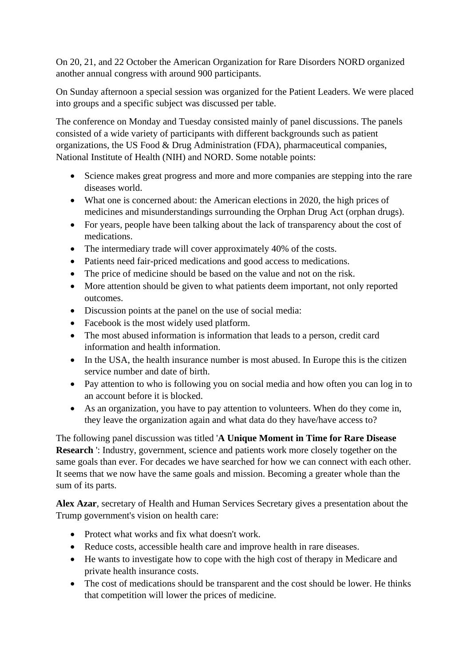On 20, 21, and 22 October the American Organization for Rare Disorders NORD organized another annual congress with around 900 participants.

On Sunday afternoon a special session was organized for the Patient Leaders. We were placed into groups and a specific subject was discussed per table.

The conference on Monday and Tuesday consisted mainly of panel discussions. The panels consisted of a wide variety of participants with different backgrounds such as patient organizations, the US Food & Drug Administration (FDA), pharmaceutical companies, National Institute of Health (NIH) and NORD. Some notable points:

- Science makes great progress and more and more companies are stepping into the rare diseases world.
- What one is concerned about: the American elections in 2020, the high prices of medicines and misunderstandings surrounding the Orphan Drug Act (orphan drugs).
- For years, people have been talking about the lack of transparency about the cost of medications.
- The intermediary trade will cover approximately 40% of the costs.
- Patients need fair-priced medications and good access to medications.
- The price of medicine should be based on the value and not on the risk.
- More attention should be given to what patients deem important, not only reported outcomes.
- Discussion points at the panel on the use of social media:
- Facebook is the most widely used platform.
- The most abused information is information that leads to a person, credit card information and health information.
- In the USA, the health insurance number is most abused. In Europe this is the citizen service number and date of birth.
- Pay attention to who is following you on social media and how often you can log in to an account before it is blocked.
- As an organization, you have to pay attention to volunteers. When do they come in, they leave the organization again and what data do they have/have access to?

The following panel discussion was titled '**A Unique Moment in Time for Rare Disease Research** ': Industry, government, science and patients work more closely together on the same goals than ever. For decades we have searched for how we can connect with each other. It seems that we now have the same goals and mission. Becoming a greater whole than the sum of its parts.

**Alex Azar**, secretary of Health and Human Services Secretary gives a presentation about the Trump government's vision on health care:

- Protect what works and fix what doesn't work.
- Reduce costs, accessible health care and improve health in rare diseases.
- He wants to investigate how to cope with the high cost of therapy in Medicare and private health insurance costs.
- The cost of medications should be transparent and the cost should be lower. He thinks that competition will lower the prices of medicine.